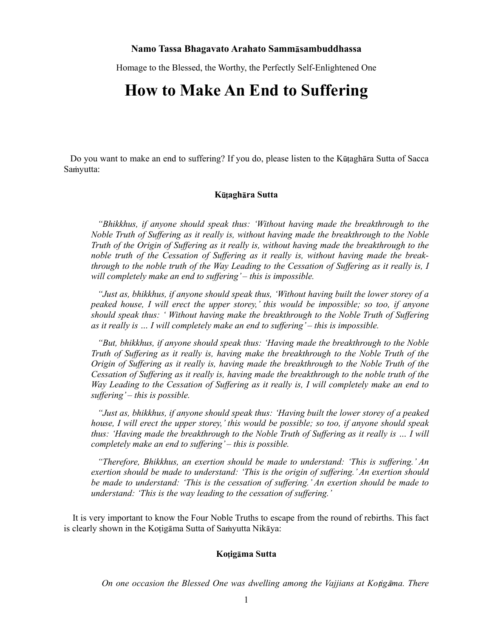## **Namo Tassa Bhagavato Arahato Samm**a**sambuddhassa**

Homage to the Blessed, the Worthy, the Perfectly Self-Enlightened One

# **How to Make An End to Suffering**

Do you want to make an end to suffering? If you do, please listen to the Kūțaghāra Sutta of Sacca Samyutta:

## **K**ut**agh**a**ra Sutta**

*"Bhikkhus, if anyone should speak thus: 'Without having made the breakthrough to the Noble Truth of Suffering as it really is, without having made the breakthrough to the Noble Truth of the Origin of Suffering as it really is, without having made the breakthrough to the noble truth of the Cessation of Suffering as it really is, without having made the breakthrough to the noble truth of the Way Leading to the Cessation of Suffering as it really is, I will completely make an end to suffering' – this is impossible.* 

*"Just as, bhikkhus, if anyone should speak thus, 'Without having built the lower storey of a peaked house, I will erect the upper storey,' this would be impossible; so too, if anyone should speak thus: ' Without having make the breakthrough to the Noble Truth of Suffering as it really is … I will completely make an end to suffering' – this is impossible.* 

*"But, bhikkhus, if anyone should speak thus: 'Having made the breakthrough to the Noble Truth of Suffering as it really is, having make the breakthrough to the Noble Truth of the Origin of Suffering as it really is, having made the breakthrough to the Noble Truth of the Cessation of Suffering as it really is, having made the breakthrough to the noble truth of the Way Leading to the Cessation of Suffering as it really is, I will completely make an end to suffering' – this is possible.* 

*"Just as, bhikkhus, if anyone should speak thus: 'Having built the lower storey of a peaked house, I will erect the upper storey,' this would be possible; so too, if anyone should speak thus: 'Having made the breakthrough to the Noble Truth of Suffering as it really is … I will completely make an end to suffering' – this is possible.* 

*"Therefore, Bhikkhus, an exertion should be made to understand: 'This is suffering.' An exertion should be made to understand: 'This is the origin of suffering.' An exertion should be made to understand: 'This is the cessation of suffering.' An exertion should be made to understand: 'This is the way leading to the cessation of suffering.'*

 It is very important to know the Four Noble Truths to escape from the round of rebirths. This fact is clearly shown in the Kotigama Sutta of Samyutta Nikaya:

## **Ko**t**ig**a**ma Sutta**

*On one occasion the Blessed One was dwelling among the Vajjians at Ko*t*ig*a*ma. There*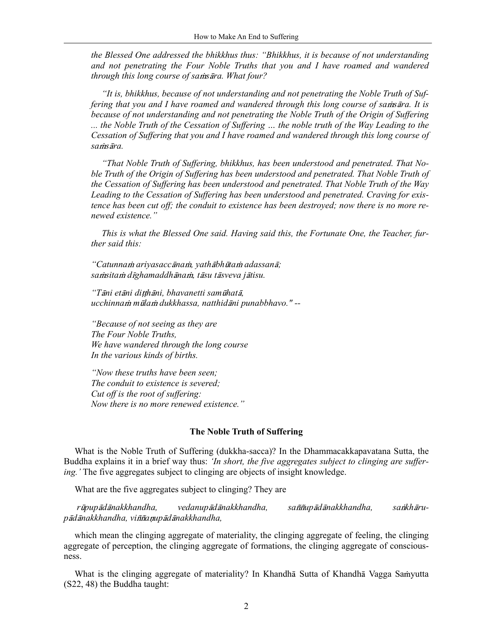*the Blessed One addressed the bhikkhus thus: "Bhikkhus, it is because of not understanding and not penetrating the Four Noble Truths that you and I have roamed and wandered through this long course of sa*m*s*a*ra. What four?* 

*"It is, bhikkhus, because of not understanding and not penetrating the Noble Truth of Suffering that you and I have roamed and wandered through this long course of same ara. It is because of not understanding and not penetrating the Noble Truth of the Origin of Suffering ... the Noble Truth of the Cessation of Suffering … the noble truth of the Way Leading to the Cessation of Suffering that you and I have roamed and wandered through this long course of sa*m*s*a*ra.* 

*"That Noble Truth of Suffering, bhikkhus, has been understood and penetrated. That Noble Truth of the Origin of Suffering has been understood and penetrated. That Noble Truth of the Cessation of Suffering has been understood and penetrated. That Noble Truth of the Way Leading to the Cessation of Suffering has been understood and penetrated. Craving for existence has been cut off; the conduit to existence has been destroyed; now there is no more renewed existence."* 

*This is what the Blessed One said. Having said this, the Fortunate One, the Teacher, further said this:* 

*"Catunna*m *ariyasacc*a*na*m*, yath*a*bh*u*ta*m *adassan*a*; sa*m*sita*m *d*i*ghamaddh*a*na*m*, t*a*su t*a*sveva j*a*tisu.* 

*"T*a*ni et*a*ni di*tt*h*a*ni, bhavanetti sam*u*hat*a*, ucchinna*m *m*u*la*m *dukkhassa, natthid*a*ni punabbhavo." --* 

*"Because of not seeing as they are The Four Noble Truths, We have wandered through the long course In the various kinds of births.* 

*"Now these truths have been seen; The conduit to existence is severed; Cut off is the root of suffering: Now there is no more renewed existence."* 

## **The Noble Truth of Suffering**

What is the Noble Truth of Suffering (dukkha-sacca)? In the Dhammacakkapavatana Sutta, the Buddha explains it in a brief way thus: *'In short, the five aggregates subject to clinging are suffering.'* The five aggregates subject to clinging are objects of insight knowledge.

What are the five aggregates subject to clinging? They are

*r*u*pup*a*d*a*nakkhandha, vedanup*a*d*a*nakkhandha, sa*bb*up*a*d*a*nakkhandha, sa*v*kh*a*rup*a*d*a*nakkhandha, vi*bb*a*n*up*a*d*a*nakkhandha,*

which mean the clinging aggregate of materiality, the clinging aggregate of feeling, the clinging aggregate of perception, the clinging aggregate of formations, the clinging aggregate of consciousness.

What is the clinging aggregate of materiality? In Khandha Sutta of Khandha Vagga Samyutta (S22, 48) the Buddha taught: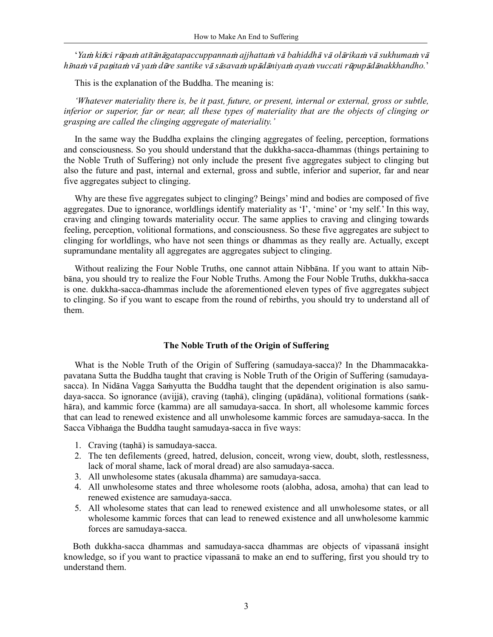'*Ya*m *ki*b*ci r*u*pa*m *at*i*t*a*n*a*gatapaccuppanna*m *ajjhatta*m *v*a *bahiddh*a *v*a *ol*a*rika*m *v*a *sukhuma*m *v*<sup>a</sup> hīnam vā panitam vā vam dūre santike vā sāsavam upādāniyam ayam vuccati rūpupādānakkhandho.'

This is the explanation of the Buddha. The meaning is:

*'Whatever materiality there is, be it past, future, or present, internal or external, gross or subtle, inferior or superior, far or near, all these types of materiality that are the objects of clinging or grasping are called the clinging aggregate of materiality.'*

In the same way the Buddha explains the clinging aggregates of feeling, perception, formations and consciousness. So you should understand that the dukkha-sacca-dhammas (things pertaining to the Noble Truth of Suffering) not only include the present five aggregates subject to clinging but also the future and past, internal and external, gross and subtle, inferior and superior, far and near five aggregates subject to clinging.

Why are these five aggregates subject to clinging? Beings' mind and bodies are composed of five aggregates. Due to ignorance, worldlings identify materiality as 'I', 'mine' or 'my self.' In this way, craving and clinging towards materiality occur. The same applies to craving and clinging towards feeling, perception, volitional formations, and consciousness. So these five aggregates are subject to clinging for worldlings, who have not seen things or dhammas as they really are. Actually, except supramundane mentality all aggregates are aggregates subject to clinging.

Without realizing the Four Noble Truths, one cannot attain Nibbana. If you want to attain Nibbana, you should try to realize the Four Noble Truths. Among the Four Noble Truths, dukkha-sacca is one. dukkha-sacca-dhammas include the aforementioned eleven types of five aggregates subject to clinging. So if you want to escape from the round of rebirths, you should try to understand all of them.

# **The Noble Truth of the Origin of Suffering**

What is the Noble Truth of the Origin of Suffering (samudaya-sacca)? In the Dhammacakkapavatana Sutta the Buddha taught that craving is Noble Truth of the Origin of Suffering (samudayasacca). In Nidana Vagga Samyutta the Buddha taught that the dependent origination is also samudaya-sacca. So ignorance (avijjā), craving (tanhā), clinging (upādāna), volitional formations (sankhara), and kammic force (kamma) are all samudaya-sacca. In short, all wholesome kammic forces that can lead to renewed existence and all unwholesome kammic forces are samudaya-sacca. In the Sacca Vibhanga the Buddha taught samudaya-sacca in five ways:

- 1. Craving (tanha) is samudaya-sacca.
- 2. The ten defilements (greed, hatred, delusion, conceit, wrong view, doubt, sloth, restlessness, lack of moral shame, lack of moral dread) are also samudaya-sacca.
- 3. All unwholesome states (akusala dhamma) are samudaya-sacca.
- 4. All unwholesome states and three wholesome roots (alobha, adosa, amoha) that can lead to renewed existence are samudaya-sacca.
- 5. All wholesome states that can lead to renewed existence and all unwholesome states, or all wholesome kammic forces that can lead to renewed existence and all unwholesome kammic forces are samudaya-sacca.

Both dukkha-sacca dhammas and samudaya-sacca dhammas are objects of vipassana insight knowledge, so if you want to practice vipassana to make an end to suffering, first you should try to understand them.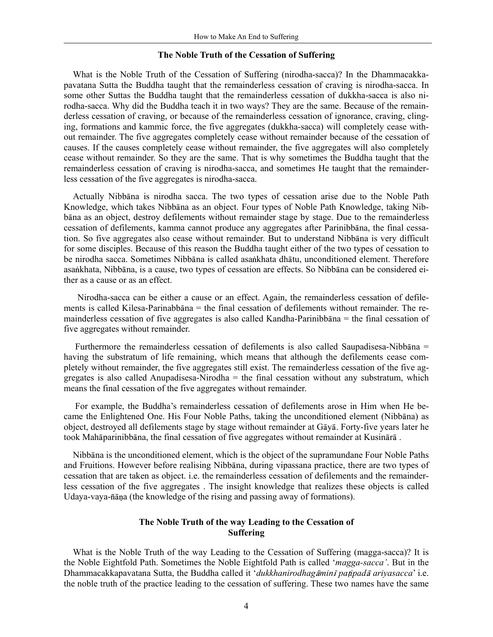## **The Noble Truth of the Cessation of Suffering**

What is the Noble Truth of the Cessation of Suffering (nirodha-sacca)? In the Dhammacakkapavatana Sutta the Buddha taught that the remainderless cessation of craving is nirodha-sacca. In some other Suttas the Buddha taught that the remainderless cessation of dukkha-sacca is also nirodha-sacca. Why did the Buddha teach it in two ways? They are the same. Because of the remainderless cessation of craving, or because of the remainderless cessation of ignorance, craving, clinging, formations and kammic force, the five aggregates (dukkha-sacca) will completely cease without remainder. The five aggregates completely cease without remainder because of the cessation of causes. If the causes completely cease without remainder, the five aggregates will also completely cease without remainder. So they are the same. That is why sometimes the Buddha taught that the remainderless cessation of craving is nirodha-sacca, and sometimes He taught that the remainderless cessation of the five aggregates is nirodha-sacca.

Actually Nibbana is nirodha sacca. The two types of cessation arise due to the Noble Path Knowledge, which takes Nibbana as an object. Four types of Noble Path Knowledge, taking Nibbana as an object, destroy defilements without remainder stage by stage. Due to the remainderless cessation of defilements, kamma cannot produce any aggregates after Parinibbana, the final cessation. So five aggregates also cease without remainder. But to understand Nibbana is very difficult for some disciples. Because of this reason the Buddha taught either of the two types of cessation to be nirodha sacca. Sometimes Nibbāna is called asankhata dhātu, unconditioned element. Therefore asankhata, Nibbāna, is a cause, two types of cessation are effects. So Nibbāna can be considered either as a cause or as an effect.

 Nirodha-sacca can be either a cause or an effect. Again, the remainderless cessation of defilements is called Kilesa-Parinabbana = the final cessation of defilements without remainder. The remainderless cessation of five aggregates is also called Kandha-Parinibbana = the final cessation of five aggregates without remainder.

Furthermore the remainderless cessation of defilements is also called Saupadisesa-Nibbana = having the substratum of life remaining, which means that although the defilements cease completely without remainder, the five aggregates still exist. The remainderless cessation of the five aggregates is also called Anupadisesa-Nirodha  $=$  the final cessation without any substratum, which means the final cessation of the five aggregates without remainder.

For example, the Buddha's remainderless cessation of defilements arose in Him when He became the Enlightened One. His Four Noble Paths, taking the unconditioned element (Nibbana) as object, destroyed all defilements stage by stage without remainder at Gaya. Forty-five years later he took Mahāparinibbāna, the final cessation of five aggregates without remainder at Kusinārā.

Nibbana is the unconditioned element, which is the object of the supramundane Four Noble Paths and Fruitions. However before realising Nibbana, during vipassana practice, there are two types of cessation that are taken as object. i.e. the remainderless cessation of defilements and the remainderless cessation of the five aggregates . The insight knowledge that realizes these objects is called Udaya-vaya-ñāna (the knowledge of the rising and passing away of formations).

# **The Noble Truth of the way Leading to the Cessation of Suffering**

What is the Noble Truth of the way Leading to the Cessation of Suffering (magga-sacca)? It is the Noble Eightfold Path. Sometimes the Noble Eightfold Path is called '*magga-sacca'*. But in the Dhammacakkapavatana Sutta, the Buddha called it '*dukkhanirodhag*a*min*i *pa*t*ipad*a *ariyasacca*' i.e. the noble truth of the practice leading to the cessation of suffering. These two names have the same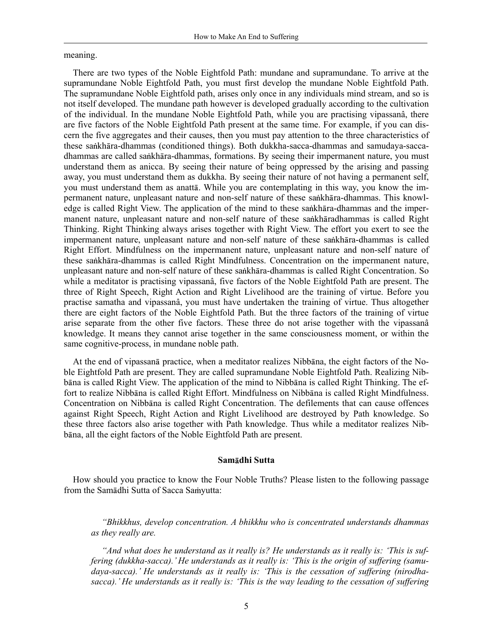meaning.

There are two types of the Noble Eightfold Path: mundane and supramundane. To arrive at the supramundane Noble Eightfold Path, you must first develop the mundane Noble Eightfold Path. The supramundane Noble Eightfold path, arises only once in any individuals mind stream, and so is not itself developed. The mundane path however is developed gradually according to the cultivation of the individual. In the mundane Noble Eightfold Path, while you are practising vipassanâ, there are five factors of the Noble Eightfold Path present at the same time. For example, if you can discern the five aggregates and their causes, then you must pay attention to the three characteristics of these sankhāra-dhammas (conditioned things). Both dukkha-sacca-dhammas and samudaya-saccadhammas are called savkhara-dhammas, formations. By seeing their impermanent nature, you must understand them as anicca. By seeing their nature of being oppressed by the arising and passing away, you must understand them as dukkha. By seeing their nature of not having a permanent self, you must understand them as anatta. While you are contemplating in this way, you know the impermanent nature, unpleasant nature and non-self nature of these sankhara-dhammas. This knowledge is called Right View. The application of the mind to these sankhara-dhammas and the impermanent nature, unpleasant nature and non-self nature of these sankharadhammas is called Right Thinking. Right Thinking always arises together with Right View. The effort you exert to see the impermanent nature, unpleasant nature and non-self nature of these sankhara-dhammas is called Right Effort. Mindfulness on the impermanent nature, unpleasant nature and non-self nature of these sankhāra-dhammas is called Right Mindfulness. Concentration on the impermanent nature, unpleasant nature and non-self nature of these sankhara-dhammas is called Right Concentration. So while a meditator is practising vipassanâ, five factors of the Noble Eightfold Path are present. The three of Right Speech, Right Action and Right Livelihood are the training of virtue. Before you practise samatha and vipassanâ, you must have undertaken the training of virtue. Thus altogether there are eight factors of the Noble Eightfold Path. But the three factors of the training of virtue arise separate from the other five factors. These three do not arise together with the vipassanâ knowledge. It means they cannot arise together in the same consciousness moment, or within the same cognitive-process, in mundane noble path.

At the end of vipassana practice, when a meditator realizes Nibbana, the eight factors of the Noble Eightfold Path are present. They are called supramundane Noble Eightfold Path. Realizing Nibbana is called Right View. The application of the mind to Nibbana is called Right Thinking. The effort to realize Nibbana is called Right Effort. Mindfulness on Nibbana is called Right Mindfulness. Concentration on Nibbana is called Right Concentration. The defilements that can cause offences against Right Speech, Right Action and Right Livelihood are destroyed by Path knowledge. So these three factors also arise together with Path knowledge. Thus while a meditator realizes Nibbana, all the eight factors of the Noble Eightfold Path are present.

#### **Sam**a**dhi Sutta**

How should you practice to know the Four Noble Truths? Please listen to the following passage from the Samadhi Sutta of Sacca Samyutta:

*"Bhikkhus, develop concentration. A bhikkhu who is concentrated understands dhammas as they really are.* 

*"And what does he understand as it really is? He understands as it really is: 'This is suffering (dukkha-sacca).' He understands as it really is: 'This is the origin of suffering (samudaya-sacca).' He understands as it really is: 'This is the cessation of suffering (nirodhasacca).' He understands as it really is: 'This is the way leading to the cessation of suffering*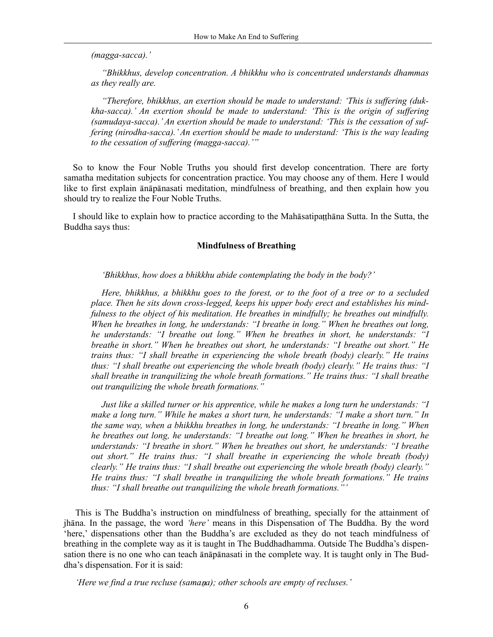#### *(magga-sacca).'*

*"Bhikkhus, develop concentration. A bhikkhu who is concentrated understands dhammas as they really are.* 

*"Therefore, bhikkhus, an exertion should be made to understand: 'This is suffering (dukkha-sacca).' An exertion should be made to understand: 'This is the origin of suffering (samudaya-sacca).' An exertion should be made to understand: 'This is the cessation of suffering (nirodha-sacca).' An exertion should be made to understand: 'This is the way leading to the cessation of suffering (magga-sacca).'"* 

So to know the Four Noble Truths you should first develop concentration. There are forty samatha meditation subjects for concentration practice. You may choose any of them. Here I would like to first explain anapanasati meditation, mindfulness of breathing, and then explain how you should try to realize the Four Noble Truths.

I should like to explain how to practice according to the Mahasatipatthana Sutta. In the Sutta, the Buddha says thus:

#### **Mindfulness of Breathing**

*'Bhikkhus, how does a bhikkhu abide contemplating the body in the body?'* 

*Here, bhikkhus, a bhikkhu goes to the forest, or to the foot of a tree or to a secluded place. Then he sits down cross-legged, keeps his upper body erect and establishes his mindfulness to the object of his meditation. He breathes in mindfully; he breathes out mindfully. When he breathes in long, he understands: "I breathe in long." When he breathes out long, he understands: "I breathe out long." When he breathes in short, he understands: "I breathe in short." When he breathes out short, he understands: "I breathe out short." He trains thus: "I shall breathe in experiencing the whole breath (body) clearly." He trains thus: "I shall breathe out experiencing the whole breath (body) clearly." He trains thus: "I shall breathe in tranquilizing the whole breath formations." He trains thus: "I shall breathe out tranquilizing the whole breath formations."* 

*Just like a skilled turner or his apprentice, while he makes a long turn he understands: "I make a long turn." While he makes a short turn, he understands: "I make a short turn." In the same way, when a bhikkhu breathes in long, he understands: "I breathe in long." When he breathes out long, he understands: "I breathe out long." When he breathes in short, he understands: "I breathe in short." When he breathes out short, he understands: "I breathe out short." He trains thus: "I shall breathe in experiencing the whole breath (body) clearly." He trains thus: "I shall breathe out experiencing the whole breath (body) clearly." He trains thus: "I shall breathe in tranquilizing the whole breath formations." He trains thus: "I shall breathe out tranquilizing the whole breath formations."'* 

This is The Buddha's instruction on mindfulness of breathing, specially for the attainment of jhana. In the passage, the word *'here'* means in this Dispensation of The Buddha. By the word 'here,' dispensations other than the Buddha's are excluded as they do not teach mindfulness of breathing in the complete way as it is taught in The Buddhadhamma. Outside The Buddha's dispensation there is no one who can teach anapanasati in the complete way. It is taught only in The Buddha's dispensation. For it is said:

*'Here we find a true recluse (sama*n*a); other schools are empty of recluses.'*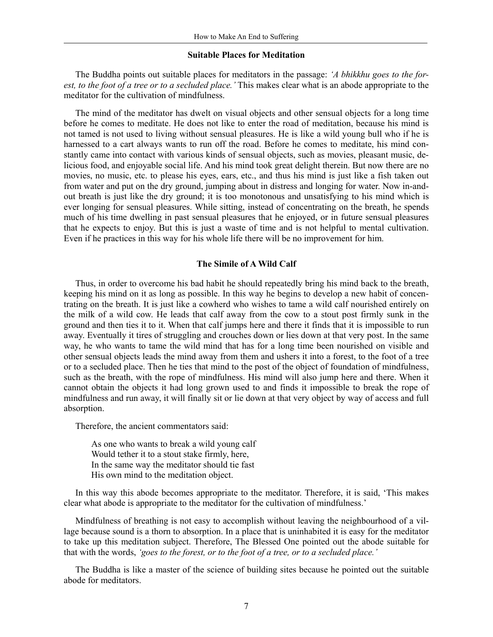#### **Suitable Places for Meditation**

The Buddha points out suitable places for meditators in the passage: *'A bhikkhu goes to the forest, to the foot of a tree or to a secluded place.'* This makes clear what is an abode appropriate to the meditator for the cultivation of mindfulness.

The mind of the meditator has dwelt on visual objects and other sensual objects for a long time before he comes to meditate. He does not like to enter the road of meditation, because his mind is not tamed is not used to living without sensual pleasures. He is like a wild young bull who if he is harnessed to a cart always wants to run off the road. Before he comes to meditate, his mind constantly came into contact with various kinds of sensual objects, such as movies, pleasant music, delicious food, and enjoyable social life. And his mind took great delight therein. But now there are no movies, no music, etc. to please his eyes, ears, etc., and thus his mind is just like a fish taken out from water and put on the dry ground, jumping about in distress and longing for water. Now in-andout breath is just like the dry ground; it is too monotonous and unsatisfying to his mind which is ever longing for sensual pleasures. While sitting, instead of concentrating on the breath, he spends much of his time dwelling in past sensual pleasures that he enjoyed, or in future sensual pleasures that he expects to enjoy. But this is just a waste of time and is not helpful to mental cultivation. Even if he practices in this way for his whole life there will be no improvement for him.

## **The Simile of A Wild Calf**

Thus, in order to overcome his bad habit he should repeatedly bring his mind back to the breath, keeping his mind on it as long as possible. In this way he begins to develop a new habit of concentrating on the breath. It is just like a cowherd who wishes to tame a wild calf nourished entirely on the milk of a wild cow. He leads that calf away from the cow to a stout post firmly sunk in the ground and then ties it to it. When that calf jumps here and there it finds that it is impossible to run away. Eventually it tires of struggling and crouches down or lies down at that very post. In the same way, he who wants to tame the wild mind that has for a long time been nourished on visible and other sensual objects leads the mind away from them and ushers it into a forest, to the foot of a tree or to a secluded place. Then he ties that mind to the post of the object of foundation of mindfulness, such as the breath, with the rope of mindfulness. His mind will also jump here and there. When it cannot obtain the objects it had long grown used to and finds it impossible to break the rope of mindfulness and run away, it will finally sit or lie down at that very object by way of access and full absorption.

Therefore, the ancient commentators said:

As one who wants to break a wild young calf Would tether it to a stout stake firmly, here, In the same way the meditator should tie fast His own mind to the meditation object.

In this way this abode becomes appropriate to the meditator. Therefore, it is said, 'This makes clear what abode is appropriate to the meditator for the cultivation of mindfulness.'

Mindfulness of breathing is not easy to accomplish without leaving the neighbourhood of a village because sound is a thorn to absorption. In a place that is uninhabited it is easy for the meditator to take up this meditation subject. Therefore, The Blessed One pointed out the abode suitable for that with the words, *'goes to the forest, or to the foot of a tree, or to a secluded place.'*

The Buddha is like a master of the science of building sites because he pointed out the suitable abode for meditators.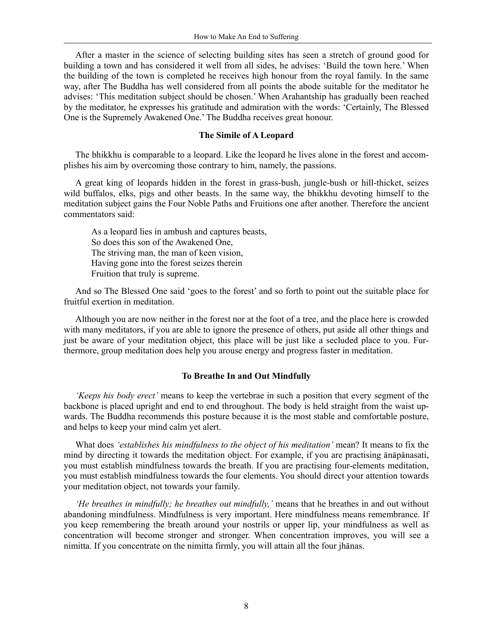After a master in the science of selecting building sites has seen a stretch of ground good for building a town and has considered it well from all sides, he advises: 'Build the town here.' When the building of the town is completed he receives high honour from the royal family. In the same way, after The Buddha has well considered from all points the abode suitable for the meditator he advises: 'This meditation subject should be chosen.' When Arahantship has gradually been reached by the meditator, he expresses his gratitude and admiration with the words: 'Certainly, The Blessed One is the Supremely Awakened One.' The Buddha receives great honour.

# **The Simile of A Leopard**

The bhikkhu is comparable to a leopard. Like the leopard he lives alone in the forest and accomplishes his aim by overcoming those contrary to him, namely, the passions.

A great king of leopards hidden in the forest in grass-bush, jungle-bush or hill-thicket, seizes wild buffalos, elks, pigs and other beasts. In the same way, the bhikkhu devoting himself to the meditation subject gains the Four Noble Paths and Fruitions one after another. Therefore the ancient commentators said:

As a leopard lies in ambush and captures beasts, So does this son of the Awakened One, The striving man, the man of keen vision, Having gone into the forest seizes therein Fruition that truly is supreme.

And so The Blessed One said 'goes to the forest' and so forth to point out the suitable place for fruitful exertion in meditation.

Although you are now neither in the forest nor at the foot of a tree, and the place here is crowded with many meditators, if you are able to ignore the presence of others, put aside all other things and just be aware of your meditation object, this place will be just like a secluded place to you. Furthermore, group meditation does help you arouse energy and progress faster in meditation.

## **To Breathe In and Out Mindfully**

*'Keeps his body erect'* means to keep the vertebrae in such a position that every segment of the backbone is placed upright and end to end throughout. The body is held straight from the waist upwards. The Buddha recommends this posture because it is the most stable and comfortable posture, and helps to keep your mind calm yet alert.

What does *'establishes his mindfulness to the object of his meditation'* mean? It means to fix the mind by directing it towards the meditation object. For example, if you are practising anapanasati, you must establish mindfulness towards the breath. If you are practising four-elements meditation, you must establish mindfulness towards the four elements. You should direct your attention towards your meditation object, not towards your family.

*'He breathes in mindfully; he breathes out mindfully,'* means that he breathes in and out without abandoning mindfulness. Mindfulness is very important. Here mindfulness means remembrance. If you keep remembering the breath around your nostrils or upper lip, your mindfulness as well as concentration will become stronger and stronger. When concentration improves, you will see a nimitta. If you concentrate on the nimitta firmly, you will attain all the four jhanas.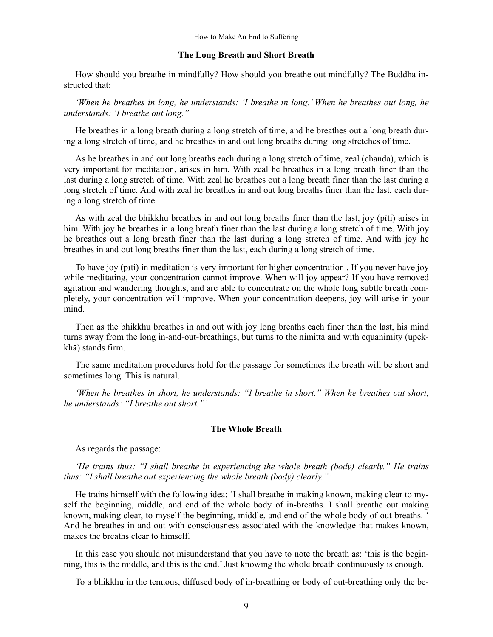## **The Long Breath and Short Breath**

How should you breathe in mindfully? How should you breathe out mindfully? The Buddha instructed that:

*'When he breathes in long, he understands: 'I breathe in long.' When he breathes out long, he understands: 'I breathe out long.''*

He breathes in a long breath during a long stretch of time, and he breathes out a long breath during a long stretch of time, and he breathes in and out long breaths during long stretches of time.

As he breathes in and out long breaths each during a long stretch of time, zeal (chanda), which is very important for meditation, arises in him. With zeal he breathes in a long breath finer than the last during a long stretch of time. With zeal he breathes out a long breath finer than the last during a long stretch of time. And with zeal he breathes in and out long breaths finer than the last, each during a long stretch of time.

As with zeal the bhikkhu breathes in and out long breaths finer than the last, joy (piti) arises in him. With joy he breathes in a long breath finer than the last during a long stretch of time. With joy he breathes out a long breath finer than the last during a long stretch of time. And with joy he breathes in and out long breaths finer than the last, each during a long stretch of time.

To have joy (piti) in meditation is very important for higher concentration . If you never have joy while meditating, your concentration cannot improve. When will joy appear? If you have removed agitation and wandering thoughts, and are able to concentrate on the whole long subtle breath completely, your concentration will improve. When your concentration deepens, joy will arise in your mind.

Then as the bhikkhu breathes in and out with joy long breaths each finer than the last, his mind turns away from the long in-and-out-breathings, but turns to the nimitta and with equanimity (upekkha) stands firm.

The same meditation procedures hold for the passage for sometimes the breath will be short and sometimes long. This is natural.

*'When he breathes in short, he understands: "I breathe in short." When he breathes out short, he understands: "I breathe out short."'*

# **The Whole Breath**

As regards the passage:

*'He trains thus: "I shall breathe in experiencing the whole breath (body) clearly." He trains thus: "I shall breathe out experiencing the whole breath (body) clearly."'* 

He trains himself with the following idea: 'I shall breathe in making known, making clear to myself the beginning, middle, and end of the whole body of in-breaths. I shall breathe out making known, making clear, to myself the beginning, middle, and end of the whole body of out-breaths. ' And he breathes in and out with consciousness associated with the knowledge that makes known, makes the breaths clear to himself.

In this case you should not misunderstand that you have to note the breath as: 'this is the beginning, this is the middle, and this is the end.' Just knowing the whole breath continuously is enough.

To a bhikkhu in the tenuous, diffused body of in-breathing or body of out-breathing only the be-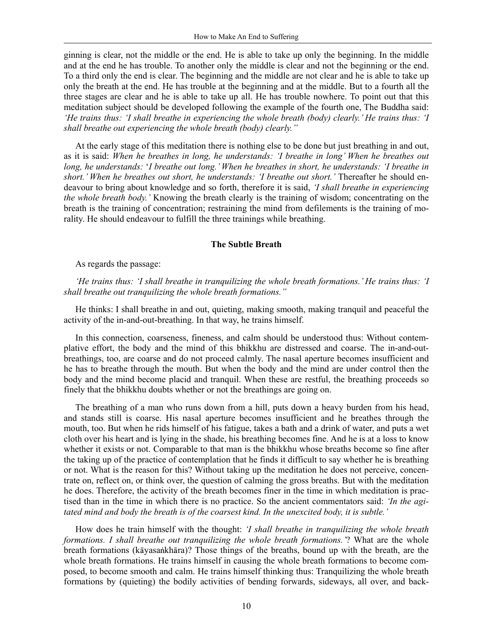ginning is clear, not the middle or the end. He is able to take up only the beginning. In the middle and at the end he has trouble. To another only the middle is clear and not the beginning or the end. To a third only the end is clear. The beginning and the middle are not clear and he is able to take up only the breath at the end. He has trouble at the beginning and at the middle. But to a fourth all the three stages are clear and he is able to take up all. He has trouble nowhere. To point out that this meditation subject should be developed following the example of the fourth one, The Buddha said: *'He trains thus: 'I shall breathe in experiencing the whole breath (body) clearly.' He trains thus: 'I shall breathe out experiencing the whole breath (body) clearly.''*

At the early stage of this meditation there is nothing else to be done but just breathing in and out, as it is said: *When he breathes in long, he understands: 'I breathe in long' When he breathes out long, he understands:* '*I breathe out long.' When he breathes in short, he understands: 'I breathe in short.' When he breathes out short, he understands: 'I breathe out short.'* Thereafter he should endeavour to bring about knowledge and so forth, therefore it is said, *'I shall breathe in experiencing the whole breath body.'* Knowing the breath clearly is the training of wisdom; concentrating on the breath is the training of concentration; restraining the mind from defilements is the training of morality. He should endeavour to fulfill the three trainings while breathing.

# **The Subtle Breath**

As regards the passage:

*'He trains thus: 'I shall breathe in tranquilizing the whole breath formations.' He trains thus: 'I shall breathe out tranquilizing the whole breath formations.''*

He thinks: I shall breathe in and out, quieting, making smooth, making tranquil and peaceful the activity of the in-and-out-breathing. In that way, he trains himself.

In this connection, coarseness, fineness, and calm should be understood thus: Without contemplative effort, the body and the mind of this bhikkhu are distressed and coarse. The in-and-outbreathings, too, are coarse and do not proceed calmly. The nasal aperture becomes insufficient and he has to breathe through the mouth. But when the body and the mind are under control then the body and the mind become placid and tranquil. When these are restful, the breathing proceeds so finely that the bhikkhu doubts whether or not the breathings are going on.

The breathing of a man who runs down from a hill, puts down a heavy burden from his head, and stands still is coarse. His nasal aperture becomes insufficient and he breathes through the mouth, too. But when he rids himself of his fatigue, takes a bath and a drink of water, and puts a wet cloth over his heart and is lying in the shade, his breathing becomes fine. And he is at a loss to know whether it exists or not. Comparable to that man is the bhikkhu whose breaths become so fine after the taking up of the practice of contemplation that he finds it difficult to say whether he is breathing or not. What is the reason for this? Without taking up the meditation he does not perceive, concentrate on, reflect on, or think over, the question of calming the gross breaths. But with the meditation he does. Therefore, the activity of the breath becomes finer in the time in which meditation is practised than in the time in which there is no practice. So the ancient commentators said: *'In the agitated mind and body the breath is of the coarsest kind. In the unexcited body, it is subtle.'*

How does he train himself with the thought: *'I shall breathe in tranquilizing the whole breath formations. I shall breathe out tranquilizing the whole breath formations.'*? What are the whole breath formations (kayasankhara)? Those things of the breaths, bound up with the breath, are the whole breath formations. He trains himself in causing the whole breath formations to become composed, to become smooth and calm. He trains himself thinking thus: Tranquilizing the whole breath formations by (quieting) the bodily activities of bending forwards, sideways, all over, and back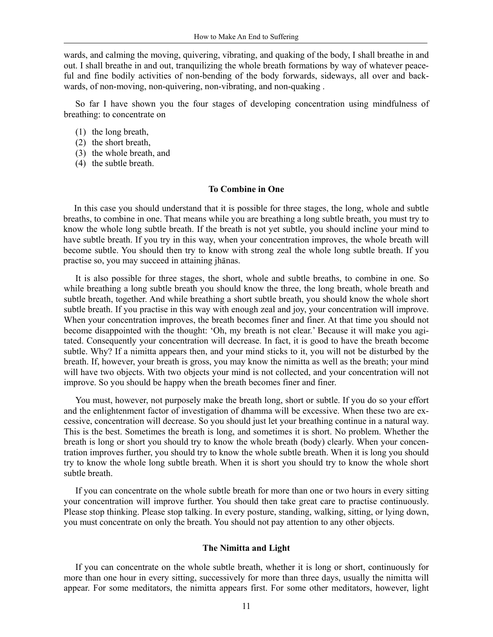wards, and calming the moving, quivering, vibrating, and quaking of the body, I shall breathe in and out. I shall breathe in and out, tranquilizing the whole breath formations by way of whatever peaceful and fine bodily activities of non-bending of the body forwards, sideways, all over and backwards, of non-moving, non-quivering, non-vibrating, and non-quaking .

So far I have shown you the four stages of developing concentration using mindfulness of breathing: to concentrate on

- (1) the long breath,
- (2) the short breath,
- (3) the whole breath, and
- (4) the subtle breath.

## **To Combine in One**

In this case you should understand that it is possible for three stages, the long, whole and subtle breaths, to combine in one. That means while you are breathing a long subtle breath, you must try to know the whole long subtle breath. If the breath is not yet subtle, you should incline your mind to have subtle breath. If you try in this way, when your concentration improves, the whole breath will become subtle. You should then try to know with strong zeal the whole long subtle breath. If you practise so, you may succeed in attaining jhanas.

It is also possible for three stages, the short, whole and subtle breaths, to combine in one. So while breathing a long subtle breath you should know the three, the long breath, whole breath and subtle breath, together. And while breathing a short subtle breath, you should know the whole short subtle breath. If you practise in this way with enough zeal and joy, your concentration will improve. When your concentration improves, the breath becomes finer and finer. At that time you should not become disappointed with the thought: 'Oh, my breath is not clear.' Because it will make you agitated. Consequently your concentration will decrease. In fact, it is good to have the breath become subtle. Why? If a nimitta appears then, and your mind sticks to it, you will not be disturbed by the breath. If, however, your breath is gross, you may know the nimitta as well as the breath; your mind will have two objects. With two objects your mind is not collected, and your concentration will not improve. So you should be happy when the breath becomes finer and finer.

You must, however, not purposely make the breath long, short or subtle. If you do so your effort and the enlightenment factor of investigation of dhamma will be excessive. When these two are excessive, concentration will decrease. So you should just let your breathing continue in a natural way. This is the best. Sometimes the breath is long, and sometimes it is short. No problem. Whether the breath is long or short you should try to know the whole breath (body) clearly. When your concentration improves further, you should try to know the whole subtle breath. When it is long you should try to know the whole long subtle breath. When it is short you should try to know the whole short subtle breath.

If you can concentrate on the whole subtle breath for more than one or two hours in every sitting your concentration will improve further. You should then take great care to practise continuously. Please stop thinking. Please stop talking. In every posture, standing, walking, sitting, or lying down, you must concentrate on only the breath. You should not pay attention to any other objects.

## **The Nimitta and Light**

If you can concentrate on the whole subtle breath, whether it is long or short, continuously for more than one hour in every sitting, successively for more than three days, usually the nimitta will appear. For some meditators, the nimitta appears first. For some other meditators, however, light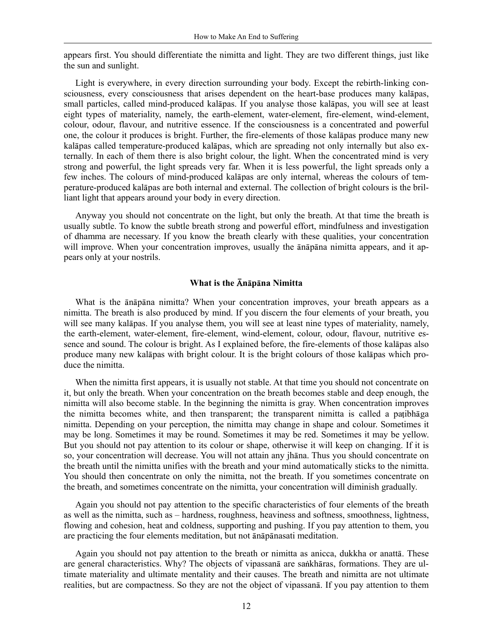appears first. You should differentiate the nimitta and light. They are two different things, just like the sun and sunlight.

Light is everywhere, in every direction surrounding your body. Except the rebirth-linking consciousness, every consciousness that arises dependent on the heart-base produces many kalapas, small particles, called mind-produced kalāpas. If you analyse those kalāpas, you will see at least eight types of materiality, namely, the earth-element, water-element, fire-element, wind-element, colour, odour, flavour, and nutritive essence. If the consciousness is a concentrated and powerful one, the colour it produces is bright. Further, the fire-elements of those kalapas produce many new kalapas called temperature-produced kalapas, which are spreading not only internally but also externally. In each of them there is also bright colour, the light. When the concentrated mind is very strong and powerful, the light spreads very far. When it is less powerful, the light spreads only a few inches. The colours of mind-produced kalapas are only internal, whereas the colours of temperature-produced kalapas are both internal and external. The collection of bright colours is the brilliant light that appears around your body in every direction.

Anyway you should not concentrate on the light, but only the breath. At that time the breath is usually subtle. To know the subtle breath strong and powerful effort, mindfulness and investigation of dhamma are necessary. If you know the breath clearly with these qualities, your concentration will improve. When your concentration improves, usually the anapana nimitta appears, and it appears only at your nostrils.

# **What is the** A**n**a**p**a**na Nimitta**

What is the anapana nimitta? When your concentration improves, your breath appears as a nimitta. The breath is also produced by mind. If you discern the four elements of your breath, you will see many kalapas. If you analyse them, you will see at least nine types of materiality, namely, the earth-element, water-element, fire-element, wind-element, colour, odour, flavour, nutritive essence and sound. The colour is bright. As I explained before, the fire-elements of those kalapas also produce many new kalapas with bright colour. It is the bright colours of those kalapas which produce the nimitta.

When the nimitta first appears, it is usually not stable. At that time you should not concentrate on it, but only the breath. When your concentration on the breath becomes stable and deep enough, the nimitta will also become stable. In the beginning the nimitta is gray. When concentration improves the nimitta becomes white, and then transparent; the transparent nimitta is called a patibhaga nimitta. Depending on your perception, the nimitta may change in shape and colour. Sometimes it may be long. Sometimes it may be round. Sometimes it may be red. Sometimes it may be yellow. But you should not pay attention to its colour or shape, otherwise it will keep on changing. If it is so, your concentration will decrease. You will not attain any jhana. Thus you should concentrate on the breath until the nimitta unifies with the breath and your mind automatically sticks to the nimitta. You should then concentrate on only the nimitta, not the breath. If you sometimes concentrate on the breath, and sometimes concentrate on the nimitta, your concentration will diminish gradually.

Again you should not pay attention to the specific characteristics of four elements of the breath as well as the nimitta, such as – hardness, roughness, heaviness and softness, smoothness, lightness, flowing and cohesion, heat and coldness, supporting and pushing. If you pay attention to them, you are practicing the four elements meditation, but not anapanasati meditation.

Again you should not pay attention to the breath or nimitta as anicca, dukkha or anatta. These are general characteristics. Why? The objects of vipassana are sankharas, formations. They are ultimate materiality and ultimate mentality and their causes. The breath and nimitta are not ultimate realities, but are compactness. So they are not the object of vipassana. If you pay attention to them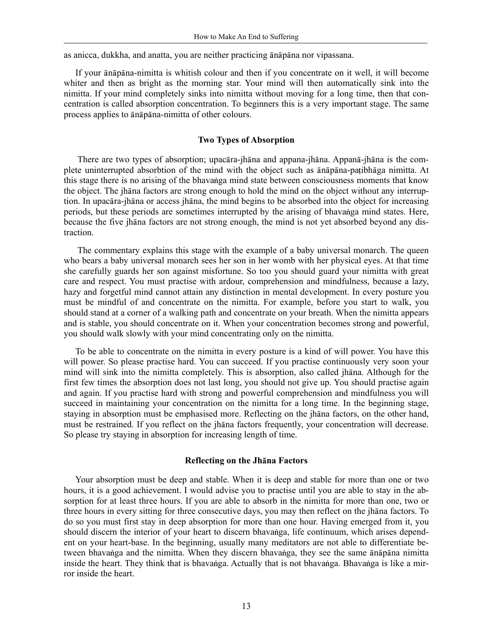as anicca, dukkha, and anatta, you are neither practicing anapana nor vipassana.

If your anapana-nimitta is whitish colour and then if you concentrate on it well, it will become whiter and then as bright as the morning star. Your mind will then automatically sink into the nimitta. If your mind completely sinks into nimitta without moving for a long time, then that concentration is called absorption concentration. To beginners this is a very important stage. The same process applies to anapana-nimitta of other colours.

## **Two Types of Absorption**

 There are two types of absorption; upacara-jhana and appana-jhana. Appana-jhana is the complete uninterrupted absorbtion of the mind with the object such as anapana-patibhaga nimitta. At this stage there is no arising of the bhavanga mind state between consciousness moments that know the object. The jhana factors are strong enough to hold the mind on the object without any interruption. In upacara-jhana or access jhana, the mind begins to be absorbed into the object for increasing periods, but these periods are sometimes interrupted by the arising of bhavanga mind states. Here, because the five jhana factors are not strong enough, the mind is not yet absorbed beyond any distraction.

 The commentary explains this stage with the example of a baby universal monarch. The queen who bears a baby universal monarch sees her son in her womb with her physical eyes. At that time she carefully guards her son against misfortune. So too you should guard your nimitta with great care and respect. You must practise with ardour, comprehension and mindfulness, because a lazy, hazy and forgetful mind cannot attain any distinction in mental development. In every posture you must be mindful of and concentrate on the nimitta. For example, before you start to walk, you should stand at a corner of a walking path and concentrate on your breath. When the nimitta appears and is stable, you should concentrate on it. When your concentration becomes strong and powerful, you should walk slowly with your mind concentrating only on the nimitta.

To be able to concentrate on the nimitta in every posture is a kind of will power. You have this will power. So please practise hard. You can succeed. If you practise continuously very soon your mind will sink into the nimitta completely. This is absorption, also called jhana. Although for the first few times the absorption does not last long, you should not give up. You should practise again and again. If you practise hard with strong and powerful comprehension and mindfulness you will succeed in maintaining your concentration on the nimitta for a long time. In the beginning stage, staying in absorption must be emphasised more. Reflecting on the jhana factors, on the other hand, must be restrained. If you reflect on the jhana factors frequently, your concentration will decrease. So please try staying in absorption for increasing length of time.

## **Reflecting on the Jh**a**na Factors**

Your absorption must be deep and stable. When it is deep and stable for more than one or two hours, it is a good achievement. I would advise you to practise until you are able to stay in the absorption for at least three hours. If you are able to absorb in the nimitta for more than one, two or three hours in every sitting for three consecutive days, you may then reflect on the jhana factors. To do so you must first stay in deep absorption for more than one hour. Having emerged from it, you should discern the interior of your heart to discern bhavanga, life continuum, which arises dependent on your heart-base. In the beginning, usually many meditators are not able to differentiate between bhavanga and the nimitta. When they discern bhavanga, they see the same anapana nimitta inside the heart. They think that is bhavanga. Actually that is not bhavanga. Bhavanga is like a mirror inside the heart.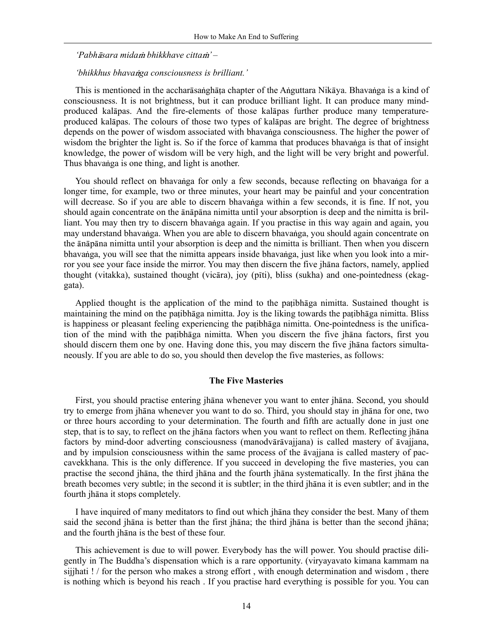*'Pabh*a*sara mida*m *bhikkhave citta*m*' –* 

#### 'bhikkhus bhavan*ga consciousness is brilliant.*'

This is mentioned in the accharasanghata chapter of the Anguitara Nikaya. Bhavanga is a kind of consciousness. It is not brightness, but it can produce brilliant light. It can produce many mindproduced kalapas. And the fire-elements of those kalapas further produce many temperatureproduced kalapas. The colours of those two types of kalapas are bright. The degree of brightness depends on the power of wisdom associated with bhavanga consciousness. The higher the power of wisdom the brighter the light is. So if the force of kamma that produces bhavanga is that of insight knowledge, the power of wisdom will be very high, and the light will be very bright and powerful. Thus bhavanga is one thing, and light is another.

You should reflect on bhavanga for only a few seconds, because reflecting on bhavanga for a longer time, for example, two or three minutes, your heart may be painful and your concentration will decrease. So if you are able to discern bhavanga within a few seconds, it is fine. If not, you should again concentrate on the anapana nimitta until your absorption is deep and the nimitta is brilliant. You may then try to discern bhavanga again. If you practise in this way again and again, you may understand bhavanga. When you are able to discern bhavanga, you should again concentrate on the anapana nimitta until your absorption is deep and the nimitta is brilliant. Then when you discern bhavanga, you will see that the nimitta appears inside bhavanga, just like when you look into a mirror you see your face inside the mirror. You may then discern the five jhana factors, namely, applied thought (vitakka), sustained thought (vicara), joy (piti), bliss (sukha) and one-pointedness (ekaggata).

Applied thought is the application of the mind to the patibhaga nimitta. Sustained thought is maintaining the mind on the patibhaga nimitta. Joy is the liking towards the patibhaga nimitta. Bliss is happiness or pleasant feeling experiencing the patibhaga nimitta. One-pointedness is the unification of the mind with the patibhaga nimitta. When you discern the five jhana factors, first you should discern them one by one. Having done this, you may discern the five jhana factors simultaneously. If you are able to do so, you should then develop the five masteries, as follows:

#### **The Five Masteries**

First, you should practise entering jhana whenever you want to enter jhana. Second, you should try to emerge from jhana whenever you want to do so. Third, you should stay in jhana for one, two or three hours according to your determination. The fourth and fifth are actually done in just one step, that is to say, to reflect on the jhana factors when you want to reflect on them. Reflecting jhana factors by mind-door adverting consciousness (manodvārāvajjana) is called mastery of āvajjana, and by impulsion consciousness within the same process of the avajjana is called mastery of paccavekkhana. This is the only difference. If you succeed in developing the five masteries, you can practise the second jhana, the third jhana and the fourth jhana systematically. In the first jhana the breath becomes very subtle; in the second it is subtler; in the third jhana it is even subtler; and in the fourth jhāna it stops completely.

I have inquired of many meditators to find out which jhana they consider the best. Many of them said the second jhana is better than the first jhana; the third jhana is better than the second jhana; and the fourth jhana is the best of these four.

This achievement is due to will power. Everybody has the will power. You should practise diligently in The Buddha's dispensation which is a rare opportunity. (viryayavato kimana kammam na sijihati  $!$  / for the person who makes a strong effort, with enough determination and wisdom, there is nothing which is beyond his reach . If you practise hard everything is possible for you. You can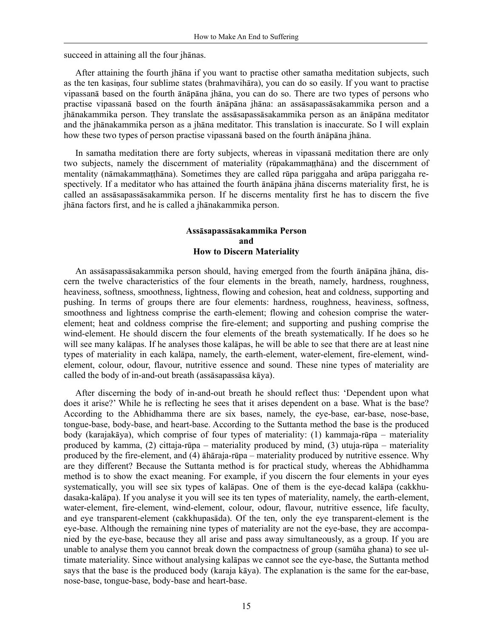succeed in attaining all the four jhanas.

After attaining the fourth jhana if you want to practise other samatha meditation subjects, such as the ten kasinas, four sublime states (brahmavihara), you can do so easily. If you want to practise vipassana based on the fourth anapana jhana, you can do so. There are two types of persons who practise vipassana based on the fourth anapana jhana: an assasapassasakammika person and a jhanakammika person. They translate the assasapassasakammika person as an anapana meditator and the jhanakammika person as a jhana meditator. This translation is inaccurate. So I will explain how these two types of person practise vipassana based on the fourth anapana jhana.

In samatha meditation there are forty subjects, whereas in vipassana meditation there are only two subjects, namely the discernment of materiality (rūpakammatthana) and the discernment of mentality (nāmakammatthāna). Sometimes they are called rūpa pariggaha and arūpa pariggaha respectively. If a meditator who has attained the fourth anapana jhana discerns materiality first, he is called an assasapassasakammika person. If he discerns mentality first he has to discern the five jhana factors first, and he is called a jhanakammika person.

# **Ass**a**sapass**a**sakammika Person and How to Discern Materiality**

An assasapassasakammika person should, having emerged from the fourth anapana jhana, discern the twelve characteristics of the four elements in the breath, namely, hardness, roughness, heaviness, softness, smoothness, lightness, flowing and cohesion, heat and coldness, supporting and pushing. In terms of groups there are four elements: hardness, roughness, heaviness, softness, smoothness and lightness comprise the earth-element; flowing and cohesion comprise the waterelement; heat and coldness comprise the fire-element; and supporting and pushing comprise the wind-element. He should discern the four elements of the breath systematically. If he does so he will see many kalapas. If he analyses those kalapas, he will be able to see that there are at least nine types of materiality in each kalapa, namely, the earth-element, water-element, fire-element, windelement, colour, odour, flavour, nutritive essence and sound. These nine types of materiality are called the body of in-and-out breath (assasapassasa kaya).

After discerning the body of in-and-out breath he should reflect thus: 'Dependent upon what does it arise?' While he is reflecting he sees that it arises dependent on a base. What is the base? According to the Abhidhamma there are six bases, namely, the eye-base, ear-base, nose-base, tongue-base, body-base, and heart-base. According to the Suttanta method the base is the produced body (karajakāya), which comprise of four types of materiality: (1) kammaja-rūpa – materiality produced by kamma, (2) cittaja-rūpa – materiality produced by mind, (3) utuja-rūpa – materiality produced by the fire-element, and (4)  $\bar{a}$ haraja-rūpa – materiality produced by nutritive essence. Why are they different? Because the Suttanta method is for practical study, whereas the Abhidhamma method is to show the exact meaning. For example, if you discern the four elements in your eyes systematically, you will see six types of kalapas. One of them is the eye-decad kalapa (cakkhudasaka-kalapa). If you analyse it you will see its ten types of materiality, namely, the earth-element, water-element, fire-element, wind-element, colour, odour, flavour, nutritive essence, life faculty, and eye transparent-element (cakkhupasada). Of the ten, only the eye transparent-element is the eye-base. Although the remaining nine types of materiality are not the eye-base, they are accompanied by the eye-base, because they all arise and pass away simultaneously, as a group. If you are unable to analyse them you cannot break down the compactness of group (samuha ghana) to see ultimate materiality. Since without analysing kalapas we cannot see the eye-base, the Suttanta method says that the base is the produced body (karaja kāya). The explanation is the same for the ear-base, nose-base, tongue-base, body-base and heart-base.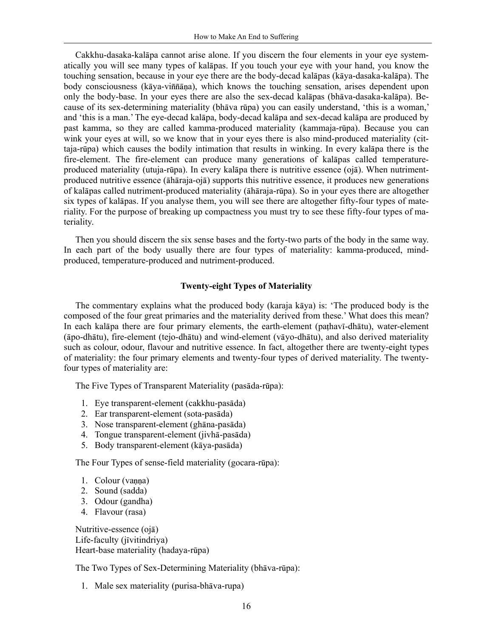Cakkhu-dasaka-kalapa cannot arise alone. If you discern the four elements in your eye systematically you will see many types of kalapas. If you touch your eye with your hand, you know the touching sensation, because in your eye there are the body-decad kalapas (kaya-dasaka-kalapa). The body consciousness (kāya-viññāna), which knows the touching sensation, arises dependent upon only the body-base. In your eyes there are also the sex-decad kalapas (bhava-dasaka-kalapa). Because of its sex-determining materiality (bhava rupa) you can easily understand, 'this is a woman,' and 'this is a man.' The eye-decad kalapa, body-decad kalapa and sex-decad kalapa are produced by past kamma, so they are called kamma-produced materiality (kammaja-rūpa). Because you can wink your eyes at will, so we know that in your eyes there is also mind-produced materiality (cittaja-rūpa) which causes the bodily intimation that results in winking. In every kalapa there is the fire-element. The fire-element can produce many generations of kalapas called temperatureproduced materiality (utuja-rūpa). In every kalāpa there is nutritive essence (ojā). When nutrimentproduced nutritive essence (aharaja-oja) supports this nutritive essence, it produces new generations of kalapas called nutriment-produced materiality (aharaja-rupa). So in your eyes there are altogether six types of kalapas. If you analyse them, you will see there are altogether fifty-four types of materiality. For the purpose of breaking up compactness you must try to see these fifty-four types of materiality.

Then you should discern the six sense bases and the forty-two parts of the body in the same way. In each part of the body usually there are four types of materiality: kamma-produced, mindproduced, temperature-produced and nutriment-produced.

# **Twenty-eight Types of Materiality**

The commentary explains what the produced body (karaja kaya) is: 'The produced body is the composed of the four great primaries and the materiality derived from these.' What does this mean? In each kalāpa there are four primary elements, the earth-element (pathavī-dhātu), water-element (apo-dhatu), fire-element (tejo-dhatu) and wind-element (vayo-dhatu), and also derived materiality such as colour, odour, flavour and nutritive essence. In fact, altogether there are twenty-eight types of materiality: the four primary elements and twenty-four types of derived materiality. The twentyfour types of materiality are:

The Five Types of Transparent Materiality (pasāda-rūpa):

- 1. Eye transparent-element (cakkhu-pasada)
- 2. Ear transparent-element (sota-pasada)
- 3. Nose transparent-element (ghana-pasada)
- 4. Tongue transparent-element (jivha-pasada)
- 5. Body transparent-element (kaya-pasada)

The Four Types of sense-field materiality (gocara-rūpa):

- 1. Colour (vanna)
- 2. Sound (sadda)
- 3. Odour (gandha)
- 4. Flavour (rasa)

Nutritive-essence (oja) Life-faculty (jivitindriya) Heart-base materiality (hadaya-rūpa)

The Two Types of Sex-Determining Materiality (bhava-rupa):

1. Male sex materiality (purisa-bhava-rupa)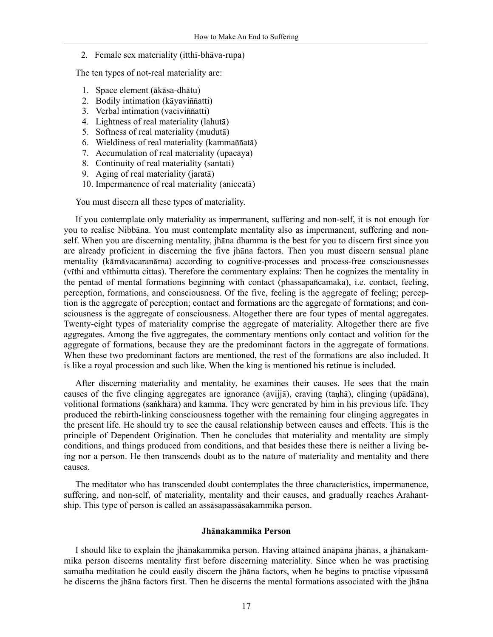2. Female sex materiality (itthi-bhava-rupa)

The ten types of not-real materiality are:

- 1. Space element (akasa-dhatu)
- 2. Bodily intimation  $(k\bar{a}y\bar{a}v)$
- 3. Verbal intimation (vacī viññatti)
- 4. Lightness of real materiality (lahuta)
- 5. Softness of real materiality (muduta)
- 6. Wieldiness of real materiality (kamma $\tilde{n}$ ata)
- 7. Accumulation of real materiality (upacaya)
- 8. Continuity of real materiality (santati)
- 9. Aging of real materiality (jarata)
- 10. Impermanence of real materiality (aniccata)

You must discern all these types of materiality.

If you contemplate only materiality as impermanent, suffering and non-self, it is not enough for you to realise Nibbana. You must contemplate mentality also as impermanent, suffering and nonself. When you are discerning mentality, jhana dhamma is the best for you to discern first since you are already proficient in discerning the five jhana factors. Then you must discern sensual plane mentality (kamavacaranama) according to cognitive-processes and process-free consciousnesses (vithi and vithimutta cittas). Therefore the commentary explains: Then he cognizes the mentality in the pentad of mental formations beginning with contact (phassapañcamaka), i.e. contact, feeling, perception, formations, and consciousness. Of the five, feeling is the aggregate of feeling; perception is the aggregate of perception; contact and formations are the aggregate of formations; and consciousness is the aggregate of consciousness. Altogether there are four types of mental aggregates. Twenty-eight types of materiality comprise the aggregate of materiality. Altogether there are five aggregates. Among the five aggregates, the commentary mentions only contact and volition for the aggregate of formations, because they are the predominant factors in the aggregate of formations. When these two predominant factors are mentioned, the rest of the formations are also included. It is like a royal procession and such like. When the king is mentioned his retinue is included.

After discerning materiality and mentality, he examines their causes. He sees that the main causes of the five clinging aggregates are ignorance (avijja), craving (tanha), clinging (upadana), volitional formations (sankhara) and kamma. They were generated by him in his previous life. They produced the rebirth-linking consciousness together with the remaining four clinging aggregates in the present life. He should try to see the causal relationship between causes and effects. This is the principle of Dependent Origination. Then he concludes that materiality and mentality are simply conditions, and things produced from conditions, and that besides these there is neither a living being nor a person. He then transcends doubt as to the nature of materiality and mentality and there causes.

The meditator who has transcended doubt contemplates the three characteristics, impermanence, suffering, and non-self, of materiality, mentality and their causes, and gradually reaches Arahantship. This type of person is called an assasapassasakammika person.

## **Jh**a**nakammika Person**

I should like to explain the jhanakammika person. Having attained anapana jhanas, a jhanakammika person discerns mentality first before discerning materiality. Since when he was practising samatha meditation he could easily discern the jhana factors, when he begins to practise vipassana he discerns the jhana factors first. Then he discerns the mental formations associated with the jhana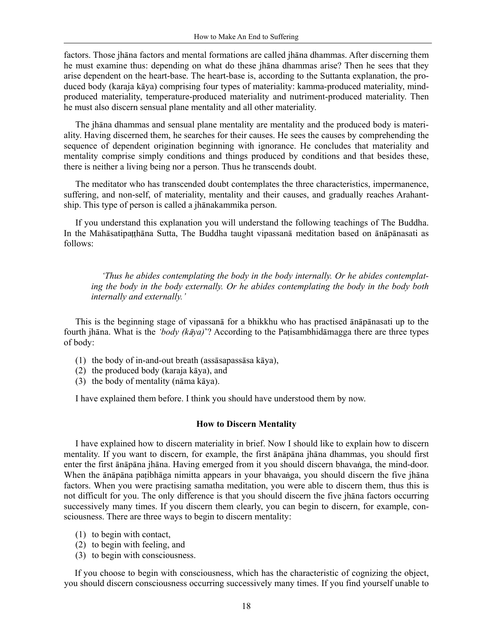factors. Those jhana factors and mental formations are called jhana dhammas. After discerning them he must examine thus: depending on what do these jhana dhammas arise? Then he sees that they arise dependent on the heart-base. The heart-base is, according to the Suttanta explanation, the produced body (karaja kaya) comprising four types of materiality: kamma-produced materiality, mindproduced materiality, temperature-produced materiality and nutriment-produced materiality. Then he must also discern sensual plane mentality and all other materiality.

The jhana dhammas and sensual plane mentality are mentality and the produced body is materiality. Having discerned them, he searches for their causes. He sees the causes by comprehending the sequence of dependent origination beginning with ignorance. He concludes that materiality and mentality comprise simply conditions and things produced by conditions and that besides these, there is neither a living being nor a person. Thus he transcends doubt.

The meditator who has transcended doubt contemplates the three characteristics, impermanence, suffering, and non-self, of materiality, mentality and their causes, and gradually reaches Arahantship. This type of person is called a jhanakammika person.

If you understand this explanation you will understand the following teachings of The Buddha. In the Mahasatipatthana Sutta, The Buddha taught vipassana meditation based on anapanasati as follows:

*'Thus he abides contemplating the body in the body internally. Or he abides contemplating the body in the body externally. Or he abides contemplating the body in the body both internally and externally.'* 

This is the beginning stage of vipassana for a bhikkhu who has practised anapanasati up to the fourth jhana. What is the *'body (k*a*ya)*'? According to the Patisambhidamagga there are three types of body:

- (1) the body of in-and-out breath (assassapassas kaya),
- (2) the produced body (karaja kaya), and
- (3) the body of mentality (n $\bar{a}$ ma kaya).

I have explained them before. I think you should have understood them by now.

## **How to Discern Mentality**

I have explained how to discern materiality in brief. Now I should like to explain how to discern mentality. If you want to discern, for example, the first anapana jhana dhammas, you should first enter the first ānāpāna jhāna. Having emerged from it you should discern bhavanga, the mind-door. When the anapana patibhaga nimitta appears in your bhavanga, you should discern the five jhana factors. When you were practising samatha meditation, you were able to discern them, thus this is not difficult for you. The only difference is that you should discern the five jhana factors occurring successively many times. If you discern them clearly, you can begin to discern, for example, consciousness. There are three ways to begin to discern mentality:

- (1) to begin with contact,
- (2) to begin with feeling, and
- (3) to begin with consciousness.

If you choose to begin with consciousness, which has the characteristic of cognizing the object, you should discern consciousness occurring successively many times. If you find yourself unable to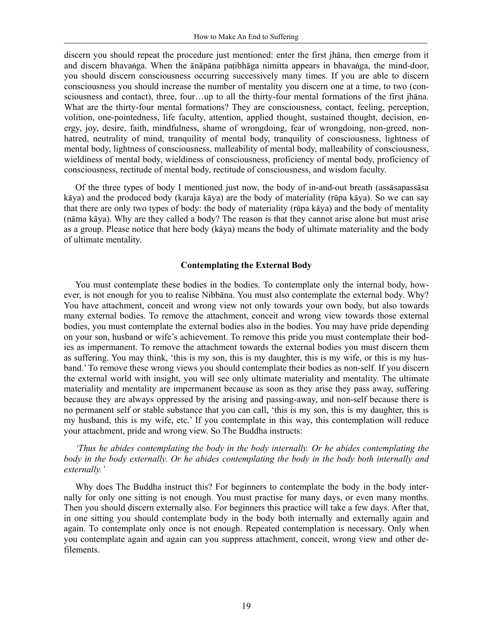discern you should repeat the procedure just mentioned: enter the first jhana, then emerge from it and discern bhavanga. When the anapana patibhaga nimitta appears in bhavanga, the mind-door, you should discern consciousness occurring successively many times. If you are able to discern consciousness you should increase the number of mentality you discern one at a time, to two (consciousness and contact), three, four…up to all the thirty-four mental formations of the first jhana. What are the thirty-four mental formations? They are consciousness, contact, feeling, perception, volition, one-pointedness, life faculty, attention, applied thought, sustained thought, decision, energy, joy, desire, faith, mindfulness, shame of wrongdoing, fear of wrongdoing, non-greed, nonhatred, neutrality of mind, tranquility of mental body, tranquility of consciousness, lightness of mental body, lightness of consciousness, malleability of mental body, malleability of consciousness, wieldiness of mental body, wieldiness of consciousness, proficiency of mental body, proficiency of consciousness, rectitude of mental body, rectitude of consciousness, and wisdom faculty.

Of the three types of body I mentioned just now, the body of in-and-out breath (assasapassasa kāya) and the produced body (karaja kāya) are the body of materiality (rūpa kāya). So we can say that there are only two types of body: the body of materiality (rūpa kāya) and the body of mentality (nama kaya). Why are they called a body? The reason is that they cannot arise alone but must arise as a group. Please notice that here body (kaya) means the body of ultimate materiality and the body of ultimate mentality.

# **Contemplating the External Body**

You must contemplate these bodies in the bodies. To contemplate only the internal body, however, is not enough for you to realise Nibbana. You must also contemplate the external body. Why? You have attachment, conceit and wrong view not only towards your own body, but also towards many external bodies. To remove the attachment, conceit and wrong view towards those external bodies, you must contemplate the external bodies also in the bodies. You may have pride depending on your son, husband or wife's achievement. To remove this pride you must contemplate their bodies as impermanent. To remove the attachment towards the external bodies you must discern them as suffering. You may think, 'this is my son, this is my daughter, this is my wife, or this is my husband.' To remove these wrong views you should contemplate their bodies as non-self. If you discern the external world with insight, you will see only ultimate materiality and mentality. The ultimate materiality and mentality are impermanent because as soon as they arise they pass away, suffering because they are always oppressed by the arising and passing-away, and non-self because there is no permanent self or stable substance that you can call, 'this is my son, this is my daughter, this is my husband, this is my wife, etc.' If you contemplate in this way, this contemplation will reduce your attachment, pride and wrong view. So The Buddha instructs:

*'Thus he abides contemplating the body in the body internally. Or he abides contemplating the body in the body externally. Or he abides contemplating the body in the body both internally and externally.'* 

Why does The Buddha instruct this? For beginners to contemplate the body in the body internally for only one sitting is not enough. You must practise for many days, or even many months. Then you should discern externally also. For beginners this practice will take a few days. After that, in one sitting you should contemplate body in the body both internally and externally again and again. To contemplate only once is not enough. Repeated contemplation is necessary. Only when you contemplate again and again can you suppress attachment, conceit, wrong view and other defilements.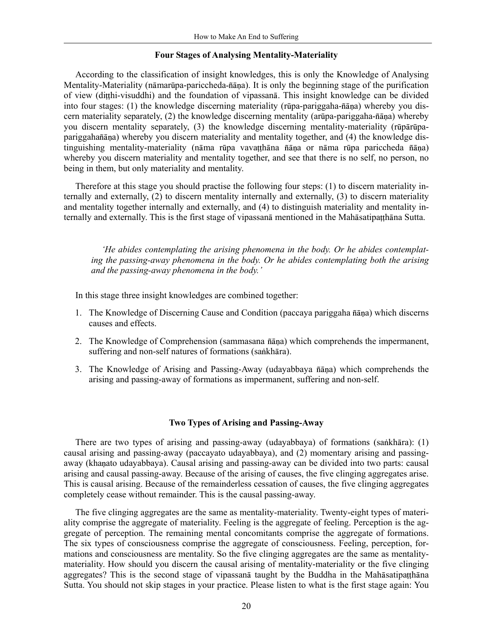# **Four Stages of Analysing Mentality-Materiality**

According to the classification of insight knowledges, this is only the Knowledge of Analysing Mentality-Materiality (nāmarūpa-pariccheda-ñāna). It is only the beginning stage of the purification of view (ditthi-visuddhi) and the foundation of vipassana. This insight knowledge can be divided into four stages: (1) the knowledge discerning materiality (rūpa-pariggaha-ñāṇa) whereby you discern materiality separately,  $(2)$  the knowledge discerning mentality (arūpa-pariggaha-ñāṇa) whereby you discern mentality separately, (3) the knowledge discerning mentality-materiality (rūpārūpapariggahañāņa) whereby you discern materiality and mentality together, and (4) the knowledge distinguishing mentality-materiality (nāma rūpa vavatthāna ñāņa or nāma rūpa pariccheda ñāņa) whereby you discern materiality and mentality together, and see that there is no self, no person, no being in them, but only materiality and mentality.

Therefore at this stage you should practise the following four steps: (1) to discern materiality internally and externally, (2) to discern mentality internally and externally, (3) to discern materiality and mentality together internally and externally, and (4) to distinguish materiality and mentality internally and externally. This is the first stage of vipassana mentioned in the Mahasatipatthana Sutta.

*'He abides contemplating the arising phenomena in the body. Or he abides contemplating the passing-away phenomena in the body. Or he abides contemplating both the arising and the passing-away phenomena in the body.'* 

In this stage three insight knowledges are combined together:

- 1. The Knowledge of Discerning Cause and Condition (paccaya pariggaha  $\tilde{n}$ ana) which discerns causes and effects.
- 2. The Knowledge of Comprehension (sammasana ñāṇa) which comprehends the impermanent, suffering and non-self natures of formations (sankhara).
- 3. The Knowledge of Arising and Passing-Away (udayabbaya  $\tilde{n}$ ana) which comprehends the arising and passing-away of formations as impermanent, suffering and non-self.

# **Two Types of Arising and Passing-Away**

There are two types of arising and passing-away (udayabbaya) of formations (sankhara):  $(1)$ causal arising and passing-away (paccayato udayabbaya), and (2) momentary arising and passingaway (khanato udayabbaya). Causal arising and passing-away can be divided into two parts: causal arising and causal passing-away. Because of the arising of causes, the five clinging aggregates arise. This is causal arising. Because of the remainderless cessation of causes, the five clinging aggregates completely cease without remainder. This is the causal passing-away.

The five clinging aggregates are the same as mentality-materiality. Twenty-eight types of materiality comprise the aggregate of materiality. Feeling is the aggregate of feeling. Perception is the aggregate of perception. The remaining mental concomitants comprise the aggregate of formations. The six types of consciousness comprise the aggregate of consciousness. Feeling, perception, formations and consciousness are mentality. So the five clinging aggregates are the same as mentalitymateriality. How should you discern the causal arising of mentality-materiality or the five clinging aggregates? This is the second stage of vipassana taught by the Buddha in the Mahasatipatthana Sutta. You should not skip stages in your practice. Please listen to what is the first stage again: You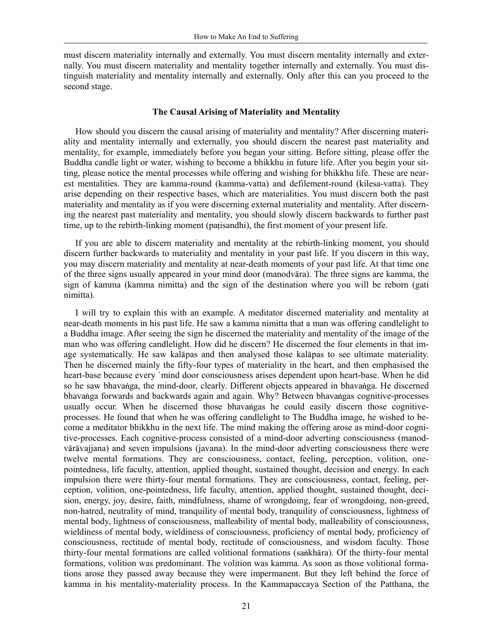must discern materiality internally and externally. You must discern mentality internally and externally. You must discern materiality and mentality together internally and externally. You must distinguish materiality and mentality internally and externally. Only after this can you proceed to the second stage.

## **The Causal Arising of Materiality and Mentality**

How should you discern the causal arising of materiality and mentality? After discerning materiality and mentality internally and externally, you should discern the nearest past materiality and mentality, for example, immediately before you began your sitting. Before sitting, please offer the Buddha candle light or water, wishing to become a bhikkhu in future life. After you begin your sitting, please notice the mental processes while offering and wishing for bhikkhu life. These are nearest mentalities. They are kamma-round (kamma-vatta) and defilement-round (kilesa-vatta). They arise depending on their respective bases, which are materialities. You must discern both the past materiality and mentality as if you were discerning external materiality and mentality. After discerning the nearest past materiality and mentality, you should slowly discern backwards to further past time, up to the rebirth-linking moment (patisandhi), the first moment of your present life.

If you are able to discern materiality and mentality at the rebirth-linking moment, you should discern further backwards to materiality and mentality in your past life. If you discern in this way, you may discern materiality and mentality at near-death moments of your past life. At that time one of the three signs usually appeared in your mind door (manodvara). The three signs are kamma, the sign of kamma (kamma nimitta) and the sign of the destination where you will be reborn (gati nimitta).

I will try to explain this with an example. A meditator discerned materiality and mentality at near-death moments in his past life. He saw a kamma nimitta that a man was offering candlelight to a Buddha image. After seeing the sign he discerned the materiality and mentality of the image of the man who was offering candlelight. How did he discern? He discerned the four elements in that image systematically. He saw kalapas and then analysed those kalapas to see ultimate materiality. Then he discerned mainly the fifty-four types of materiality in the heart, and then emphasised the heart-base because every `mind door consciousness arises dependent upon heart-base. When he did so he saw bhavanga, the mind-door, clearly. Different objects appeared in bhavanga. He discerned bhavanga forwards and backwards again and again. Why? Between bhavangas cognitive-processes usually occur. When he discerned those bhavangas he could easily discern those cognitiveprocesses. He found that when he was offering candlelight to The Buddha image, he wished to become a meditator bhikkhu in the next life. The mind making the offering arose as mind-door cognitive-processes. Each cognitive-process consisted of a mind-door adverting consciousness (manodvaravajjana) and seven impulsions (javana). In the mind-door adverting consciousness there were twelve mental formations. They are consciousness, contact, feeling, perception, volition, onepointedness, life faculty, attention, applied thought, sustained thought, decision and energy. In each impulsion there were thirty-four mental formations. They are consciousness, contact, feeling, perception, volition, one-pointedness, life faculty, attention, applied thought, sustained thought, decision, energy, joy, desire, faith, mindfulness, shame of wrongdoing, fear of wrongdoing, non-greed, non-hatred, neutrality of mind, tranquility of mental body, tranquility of consciousness, lightness of mental body, lightness of consciousness, malleability of mental body, malleability of consciousness, wieldiness of mental body, wieldiness of consciousness, proficiency of mental body, proficiency of consciousness, rectitude of mental body, rectitude of consciousness, and wisdom faculty. Those thirty-four mental formations are called volitional formations (sankhara). Of the thirty-four mental formations, volition was predominant. The volition was kamma. As soon as those volitional formations arose they passed away because they were impermanent. But they left behind the force of kamma in his mentality-materiality process. In the Kammapaccaya Section of the Patthana, the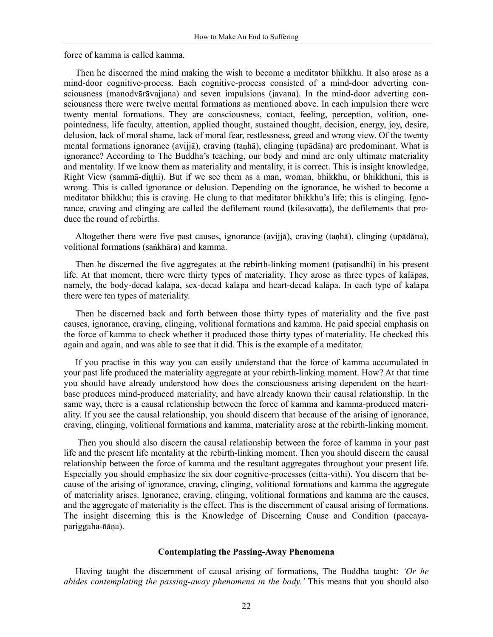force of kamma is called kamma.

Then he discerned the mind making the wish to become a meditator bhikkhu. It also arose as a mind-door cognitive-process. Each cognitive-process consisted of a mind-door adverting consciousness (manodvārāvajjana) and seven impulsions (javana). In the mind-door adverting consciousness there were twelve mental formations as mentioned above. In each impulsion there were twenty mental formations. They are consciousness, contact, feeling, perception, volition, onepointedness, life faculty, attention, applied thought, sustained thought, decision, energy, joy, desire, delusion, lack of moral shame, lack of moral fear, restlessness, greed and wrong view. Of the twenty mental formations ignorance (avijja), craving (tanha), clinging (upadana) are predominant. What is ignorance? According to The Buddha's teaching, our body and mind are only ultimate materiality and mentality. If we know them as materiality and mentality, it is correct. This is insight knowledge, Right View (samma-ditthi). But if we see them as a man, woman, bhikkhu, or bhikkhuni, this is wrong. This is called ignorance or delusion. Depending on the ignorance, he wished to become a meditator bhikkhu; this is craving. He clung to that meditator bhikkhu's life; this is clinging. Ignorance, craving and clinging are called the defilement round (kilesavatta), the defilements that produce the round of rebirths.

Altogether there were five past causes, ignorance (avijja), craving (tanha), clinging (upadana), volitional formations (sankhāra) and kamma.

Then he discerned the five aggregates at the rebirth-linking moment (patisandhi) in his present life. At that moment, there were thirty types of materiality. They arose as three types of kalapas, namely, the body-decad kalapa, sex-decad kalapa and heart-decad kalapa. In each type of kalapa there were ten types of materiality.

Then he discerned back and forth between those thirty types of materiality and the five past causes, ignorance, craving, clinging, volitional formations and kamma. He paid special emphasis on the force of kamma to check whether it produced those thirty types of materiality. He checked this again and again, and was able to see that it did. This is the example of a meditator.

If you practise in this way you can easily understand that the force of kamma accumulated in your past life produced the materiality aggregate at your rebirth-linking moment. How? At that time you should have already understood how does the consciousness arising dependent on the heartbase produces mind-produced materiality, and have already known their causal relationship. In the same way, there is a causal relationship between the force of kamma and kamma-produced materiality. If you see the causal relationship, you should discern that because of the arising of ignorance, craving, clinging, volitional formations and kamma, materiality arose at the rebirth-linking moment.

 Then you should also discern the causal relationship between the force of kamma in your past life and the present life mentality at the rebirth-linking moment. Then you should discern the causal relationship between the force of kamma and the resultant aggregates throughout your present life. Especially you should emphasize the six door cognitive-processes (citta-vithi). You discern that because of the arising of ignorance, craving, clinging, volitional formations and kamma the aggregate of materiality arises. Ignorance, craving, clinging, volitional formations and kamma are the causes, and the aggregate of materiality is the effect. This is the discernment of causal arising of formations. The insight discerning this is the Knowledge of Discerning Cause and Condition (paccayapariggaha-ñāna).

#### **Contemplating the Passing-Away Phenomena**

Having taught the discernment of causal arising of formations, The Buddha taught: *'Or he abides contemplating the passing-away phenomena in the body.'* This means that you should also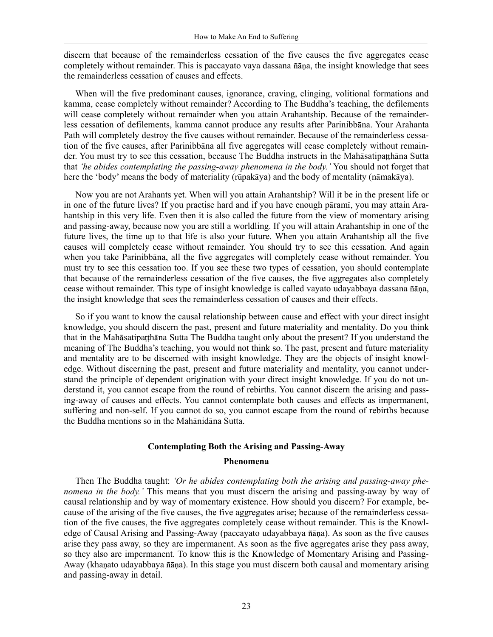discern that because of the remainderless cessation of the five causes the five aggregates cease completely without remainder. This is paccayato vaya dassana ñāna, the insight knowledge that sees the remainderless cessation of causes and effects.

When will the five predominant causes, ignorance, craving, clinging, volitional formations and kamma, cease completely without remainder? According to The Buddha's teaching, the defilements will cease completely without remainder when you attain Arahantship. Because of the remainderless cessation of defilements, kamma cannot produce any results after Parinibbana. Your Arahanta Path will completely destroy the five causes without remainder. Because of the remainderless cessation of the five causes, after Parinibbana all five aggregates will cease completely without remainder. You must try to see this cessation, because The Buddha instructs in the Mahāsatipatthana Sutta that *'he abides contemplating the passing-away phenomena in the body.'* You should not forget that here the 'body' means the body of materiality (rūpakāya) and the body of mentality (nāmakāya).

Now you are not Arahants yet. When will you attain Arahantship? Will it be in the present life or in one of the future lives? If you practise hard and if you have enough parami, you may attain Arahantship in this very life. Even then it is also called the future from the view of momentary arising and passing-away, because now you are still a worldling. If you will attain Arahantship in one of the future lives, the time up to that life is also your future. When you attain Arahantship all the five causes will completely cease without remainder. You should try to see this cessation. And again when you take Parinibbana, all the five aggregates will completely cease without remainder. You must try to see this cessation too. If you see these two types of cessation, you should contemplate that because of the remainderless cessation of the five causes, the five aggregates also completely cease without remainder. This type of insight knowledge is called vayato udayabbaya dassana ñāņa, the insight knowledge that sees the remainderless cessation of causes and their effects.

So if you want to know the causal relationship between cause and effect with your direct insight knowledge, you should discern the past, present and future materiality and mentality. Do you think that in the Mahasatipatthana Sutta The Buddha taught only about the present? If you understand the meaning of The Buddha's teaching, you would not think so. The past, present and future materiality and mentality are to be discerned with insight knowledge. They are the objects of insight knowledge. Without discerning the past, present and future materiality and mentality, you cannot understand the principle of dependent origination with your direct insight knowledge. If you do not understand it, you cannot escape from the round of rebirths. You cannot discern the arising and passing-away of causes and effects. You cannot contemplate both causes and effects as impermanent, suffering and non-self. If you cannot do so, you cannot escape from the round of rebirths because the Buddha mentions so in the Mahanidana Sutta.

# **Contemplating Both the Arising and Passing-Away**

## **Phenomena**

Then The Buddha taught: *'Or he abides contemplating both the arising and passing-away phenomena in the body.'* This means that you must discern the arising and passing-away by way of causal relationship and by way of momentary existence. How should you discern? For example, because of the arising of the five causes, the five aggregates arise; because of the remainderless cessation of the five causes, the five aggregates completely cease without remainder. This is the Knowledge of Causal Arising and Passing-Away (paccayato udayabbaya ñāṇa). As soon as the five causes arise they pass away, so they are impermanent. As soon as the five aggregates arise they pass away, so they also are impermanent. To know this is the Knowledge of Momentary Arising and Passing-Away (khanato udayabbaya ñāna). In this stage you must discern both causal and momentary arising and passing-away in detail.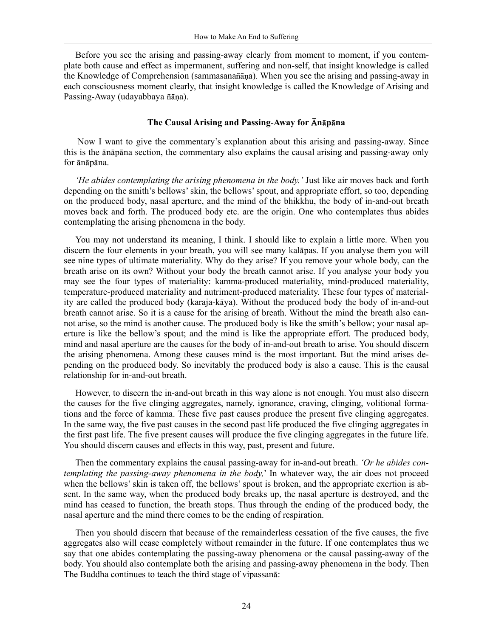Before you see the arising and passing-away clearly from moment to moment, if you contemplate both cause and effect as impermanent, suffering and non-self, that insight knowledge is called the Knowledge of Comprehension (sammasanañana). When you see the arising and passing-away in each consciousness moment clearly, that insight knowledge is called the Knowledge of Arising and Passing-Away (udayabbaya ñāna).

## **The Causal Arising and Passing-Away for** A**n**a**p**a**na**

 Now I want to give the commentary's explanation about this arising and passing-away. Since this is the anapana section, the commentary also explains the causal arising and passing-away only for anapana.

*'He abides contemplating the arising phenomena in the body.'* Just like air moves back and forth depending on the smith's bellows' skin, the bellows' spout, and appropriate effort, so too, depending on the produced body, nasal aperture, and the mind of the bhikkhu, the body of in-and-out breath moves back and forth. The produced body etc. are the origin. One who contemplates thus abides contemplating the arising phenomena in the body.

You may not understand its meaning, I think. I should like to explain a little more. When you discern the four elements in your breath, you will see many kalapas. If you analyse them you will see nine types of ultimate materiality. Why do they arise? If you remove your whole body, can the breath arise on its own? Without your body the breath cannot arise. If you analyse your body you may see the four types of materiality: kamma-produced materiality, mind-produced materiality, temperature-produced materiality and nutriment-produced materiality. These four types of materiality are called the produced body (karaja-kaya). Without the produced body the body of in-and-out breath cannot arise. So it is a cause for the arising of breath. Without the mind the breath also cannot arise, so the mind is another cause. The produced body is like the smith's bellow; your nasal aperture is like the bellow's spout; and the mind is like the appropriate effort. The produced body, mind and nasal aperture are the causes for the body of in-and-out breath to arise. You should discern the arising phenomena. Among these causes mind is the most important. But the mind arises depending on the produced body. So inevitably the produced body is also a cause. This is the causal relationship for in-and-out breath.

However, to discern the in-and-out breath in this way alone is not enough. You must also discern the causes for the five clinging aggregates, namely, ignorance, craving, clinging, volitional formations and the force of kamma. These five past causes produce the present five clinging aggregates. In the same way, the five past causes in the second past life produced the five clinging aggregates in the first past life. The five present causes will produce the five clinging aggregates in the future life. You should discern causes and effects in this way, past, present and future.

Then the commentary explains the causal passing-away for in-and-out breath. *'Or he abides contemplating the passing-away phenomena in the body,*' In whatever way, the air does not proceed when the bellows' skin is taken off, the bellows' spout is broken, and the appropriate exertion is absent. In the same way, when the produced body breaks up, the nasal aperture is destroyed, and the mind has ceased to function, the breath stops. Thus through the ending of the produced body, the nasal aperture and the mind there comes to be the ending of respiration.

Then you should discern that because of the remainderless cessation of the five causes, the five aggregates also will cease completely without remainder in the future. If one contemplates thus we say that one abides contemplating the passing-away phenomena or the causal passing-away of the body. You should also contemplate both the arising and passing-away phenomena in the body. Then The Buddha continues to teach the third stage of vipassana: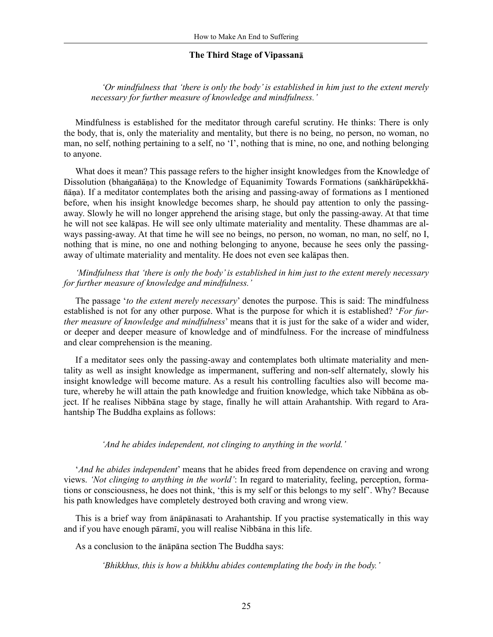# **The Third Stage of Vipassan**a

*'Or mindfulness that 'there is only the body' is established in him just to the extent merely necessary for further measure of knowledge and mindfulness.'* 

Mindfulness is established for the meditator through careful scrutiny. He thinks: There is only the body, that is, only the materiality and mentality, but there is no being, no person, no woman, no man, no self, nothing pertaining to a self, no 'I', nothing that is mine, no one, and nothing belonging to anyone.

What does it mean? This passage refers to the higher insight knowledges from the Knowledge of Dissolution (bhangañāna) to the Knowledge of Equanimity Towards Formations (sankhārūpekkhāfiana). If a meditator contemplates both the arising and passing-away of formations as I mentioned before, when his insight knowledge becomes sharp, he should pay attention to only the passingaway. Slowly he will no longer apprehend the arising stage, but only the passing-away. At that time he will not see kalapas. He will see only ultimate materiality and mentality. These dhammas are always passing-away. At that time he will see no beings, no person, no woman, no man, no self, no I, nothing that is mine, no one and nothing belonging to anyone, because he sees only the passingaway of ultimate materiality and mentality. He does not even see kalapas then.

*'Mindfulness that 'there is only the body' is established in him just to the extent merely necessary for further measure of knowledge and mindfulness.'*

The passage '*to the extent merely necessary*' denotes the purpose. This is said: The mindfulness established is not for any other purpose. What is the purpose for which it is established? '*For further measure of knowledge and mindfulness*' means that it is just for the sake of a wider and wider, or deeper and deeper measure of knowledge and of mindfulness. For the increase of mindfulness and clear comprehension is the meaning.

If a meditator sees only the passing-away and contemplates both ultimate materiality and mentality as well as insight knowledge as impermanent, suffering and non-self alternately, slowly his insight knowledge will become mature. As a result his controlling faculties also will become mature, whereby he will attain the path knowledge and fruition knowledge, which take Nibbana as object. If he realises Nibbana stage by stage, finally he will attain Arahantship. With regard to Arahantship The Buddha explains as follows:

## *'And he abides independent, not clinging to anything in the world.'*

'*And he abides independent*' means that he abides freed from dependence on craving and wrong views. *'Not clinging to anything in the world'*: In regard to materiality, feeling, perception, formations or consciousness, he does not think, 'this is my self or this belongs to my self'. Why? Because his path knowledges have completely destroyed both craving and wrong view.

This is a brief way from anapanasati to Arahantship. If you practise systematically in this way and if you have enough parami, you will realise Nibbana in this life.

As a conclusion to the anapana section The Buddha says:

*'Bhikkhus, this is how a bhikkhu abides contemplating the body in the body.'*